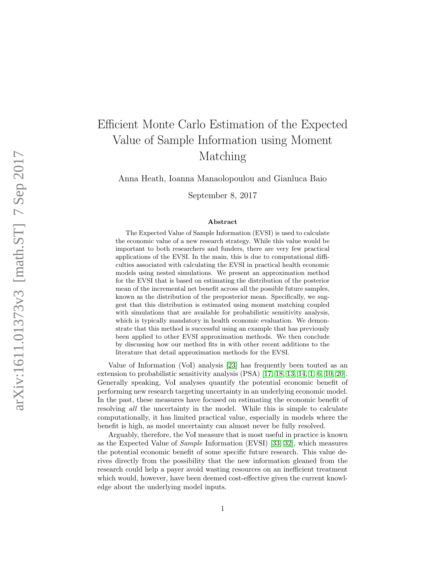# Efficient Monte Carlo Estimation of the Expected Value of Sample Information using Moment Matching

Anna Heath, Ioanna Manaolopoulou and Gianluca Baio

September 8, 2017

#### Abstract

The Expected Value of Sample Information (EVSI) is used to calculate the economic value of a new research strategy. While this value would be important to both researchers and funders, there are very few practical applications of the EVSI. In the main, this is due to computational difficulties associated with calculating the EVSI in practical health economic models using nested simulations. We present an approximation method for the EVSI that is based on estimating the distribution of the posterior mean of the incremental net benefit across all the possible future samples, known as the distribution of the preposterior mean. Specifically, we suggest that this distribution is estimated using moment matching coupled with simulations that are available for probabilistic sensitivity analysis, which is typically mandatory in health economic evaluation. We demonstrate that this method is successful using an example that has previously been applied to other EVSI approximation methods. We then conclude by discussing how our method fits in with other recent additions to the literature that detail approximation methods for the EVSI.

Value of Information (VoI) analysis [\[23\]](#page-16-0) has frequently been touted as an extension to probabilistic sensitivity analysis (PSA) [\[17,](#page-16-1) [18,](#page-16-2) [13,](#page-16-3) [14,](#page-16-4) [1,](#page-15-0) [6,](#page-15-1) [10,](#page-15-2) [20\]](#page-16-5). Generally speaking, VoI analyses quantify the potential economic benefit of performing new research targeting uncertainty in an underlying economic model. In the past, these measures have focused on estimating the economic benefit of resolving *all* the uncertainty in the model. While this is simple to calculate computationally, it has limited practical value, especially in models where the benefit is high, as model uncertainty can almost never be fully resolved.

Arguably, therefore, the VoI measure that is most useful in practice is known as the Expected Value of Sample Information (EVSI) [\[33,](#page-17-0) [32\]](#page-17-1), which measures the potential economic benefit of some specific future research. This value derives directly from the possibility that the new information gleaned from the research could help a payer avoid wasting resources on an inefficient treatment which would, however, have been deemed cost-effective given the current knowledge about the underlying model inputs.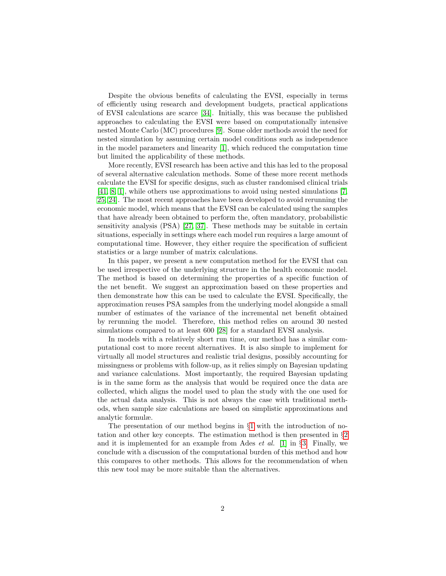Despite the obvious benefits of calculating the EVSI, especially in terms of efficiently using research and development budgets, practical applications of EVSI calculations are scarce [\[34\]](#page-17-2). Initially, this was because the published approaches to calculating the EVSI were based on computationally intensive nested Monte Carlo (MC) procedures [\[9\]](#page-15-3). Some older methods avoid the need for nested simulation by assuming certain model conditions such as independence in the model parameters and linearity [\[1\]](#page-15-0), which reduced the computation time but limited the applicability of these methods.

More recently, EVSI research has been active and this has led to the proposal of several alternative calculation methods. Some of these more recent methods calculate the EVSI for specific designs, such as cluster randomised clinical trials [\[41,](#page-18-0) [8,](#page-15-4) [1\]](#page-15-0), while others use approximations to avoid using nested simulations [\[7,](#page-15-5) [25,](#page-16-6) [24\]](#page-16-7). The most recent approaches have been developed to avoid rerunning the economic model, which means that the EVSI can be calculated using the samples that have already been obtained to perform the, often mandatory, probabilistic sensitivity analysis (PSA) [\[27,](#page-17-3) [37\]](#page-17-4). These methods may be suitable in certain situations, especially in settings where each model run requires a large amount of computational time. However, they either require the specification of sufficient statistics or a large number of matrix calculations.

In this paper, we present a new computation method for the EVSI that can be used irrespective of the underlying structure in the health economic model. The method is based on determining the properties of a specific function of the net benefit. We suggest an approximation based on these properties and then demonstrate how this can be used to calculate the EVSI. Specifically, the approximation reuses PSA samples from the underlying model alongside a small number of estimates of the variance of the incremental net benefit obtained by rerunning the model. Therefore, this method relies on around 30 nested simulations compared to at least 600 [\[28\]](#page-17-5) for a standard EVSI analysis.

In models with a relatively short run time, our method has a similar computational cost to more recent alternatives. It is also simple to implement for virtually all model structures and realistic trial designs, possibly accounting for missingness or problems with follow-up, as it relies simply on Bayesian updating and variance calculations. Most importantly, the required Bayesian updating is in the same form as the analysis that would be required once the data are collected, which aligns the model used to plan the study with the one used for the actual data analysis. This is not always the case with traditional methods, when sample size calculations are based on simplistic approximations and analytic formulæ.

The presentation of our method begins in §[1](#page-2-0) with the introduction of notation and other key concepts. The estimation method is then presented in §[2](#page-5-0) and it is implemented for an example from Ades *et al.* [\[1\]](#page-15-0) in  $\S$ [3.](#page-10-0) Finally, we conclude with a discussion of the computational burden of this method and how this compares to other methods. This allows for the recommendation of when this new tool may be more suitable than the alternatives.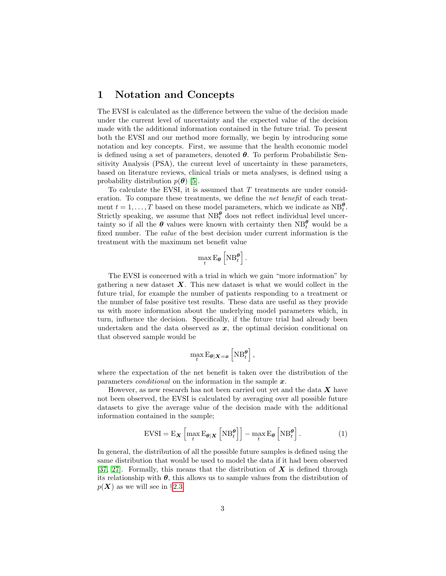## <span id="page-2-0"></span>1 Notation and Concepts

The EVSI is calculated as the difference between the value of the decision made under the current level of uncertainty and the expected value of the decision made with the additional information contained in the future trial. To present both the EVSI and our method more formally, we begin by introducing some notation and key concepts. First, we assume that the health economic model is defined using a set of parameters, denoted  $\theta$ . To perform Probabilistic Sensitivity Analysis (PSA), the current level of uncertainty in these parameters, based on literature reviews, clinical trials or meta analyses, is defined using a probability distribution  $p(\boldsymbol{\theta})$  [\[5\]](#page-15-6).

To calculate the EVSI, it is assumed that T treatments are under consideration. To compare these treatments, we define the net benefit of each treatment  $t = 1, ..., T$  based on these model parameters, which we indicate as  $NB_t^{\theta}$ . Strictly speaking, we assume that  $NB_t^{\theta}$  does not reflect individual level uncertainty so if all the  $\theta$  values were known with certainty then  $NB_t^{\theta}$  would be a fixed number. The value of the best decision under current information is the treatment with the maximum net benefit value

$$
\max_t \mathbf{E}_{\theta}\left[\mathbf{N}\mathbf{B}^{\theta}_t\right].
$$

The EVSI is concerned with a trial in which we gain "more information" by gathering a new dataset  $\boldsymbol{X}$ . This new dataset is what we would collect in the future trial, for example the number of patients responding to a treatment or the number of false positive test results. These data are useful as they provide us with more information about the underlying model parameters which, in turn, influence the decision. Specifically, if the future trial had already been undertaken and the data observed as  $x$ , the optimal decision conditional on that observed sample would be

$$
\max_t \mathrm{E}_{\theta|\boldsymbol{X}=\boldsymbol{x}}\left[\mathrm{NB}_t^{\theta}\right],
$$

where the expectation of the net benefit is taken over the distribution of the parameters *conditional* on the information in the sample  $x$ .

However, as new research has not been carried out yet and the data  $\boldsymbol{X}$  have not been observed, the EVSI is calculated by averaging over all possible future datasets to give the average value of the decision made with the additional information contained in the sample;

<span id="page-2-1"></span>
$$
\text{EVSI} = \mathbf{E}_{\mathbf{X}} \left[ \max_{t} \mathbf{E}_{\theta|\mathbf{X}} \left[ \mathbf{N} \mathbf{B}_{t}^{\theta} \right] \right] - \max_{t} \mathbf{E}_{\theta} \left[ \mathbf{N} \mathbf{B}_{t}^{\theta} \right]. \tag{1}
$$

In general, the distribution of all the possible future samples is defined using the same distribution that would be used to model the data if it had been observed [\[37,](#page-17-4) [27\]](#page-17-3). Formally, this means that the distribution of  $\boldsymbol{X}$  is defined through its relationship with  $\theta$ , this allows us to sample values from the distribution of  $p(X)$  as we will see in §[2.3.](#page-7-0)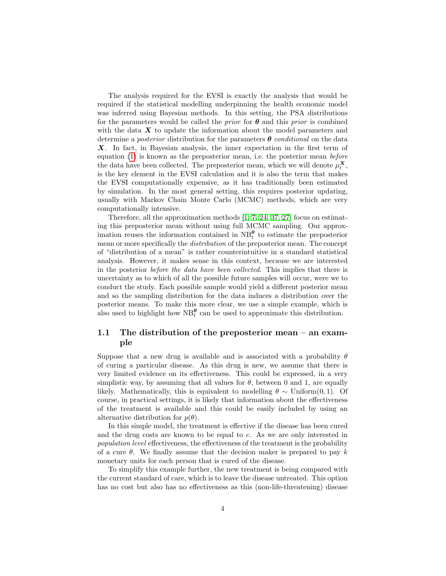The analysis required for the EVSI is exactly the analysis that would be required if the statistical modelling underpinning the health economic model was inferred using Bayesian methods. In this setting, the PSA distributions for the parameters would be called the *prior* for  $\theta$  and this *prior* is combined with the data  $\boldsymbol{X}$  to update the information about the model parameters and determine a *posterior* distribution for the parameters  $\theta$  *conditional* on the data X. In fact, in Bayesian analysis, the inner expectation in the first term of equation [\(1\)](#page-2-1) is known as the preposterior mean, i.e. the posterior mean before the data have been collected. The preposterior mean, which we will denote  $\mu_t^{\mathbf{X}},$ is the key element in the EVSI calculation and it is also the term that makes the EVSI computationally expensive, as it has traditionally been estimated by simulation. In the most general setting, this requires posterior updating, usually with Markov Chain Monte Carlo (MCMC) methods, which are very computationally intensive.

Therefore, all the approximation methods  $[1, 7, 24, 37, 27]$  $[1, 7, 24, 37, 27]$  $[1, 7, 24, 37, 27]$  $[1, 7, 24, 37, 27]$  $[1, 7, 24, 37, 27]$  focus on estimating this preposterior mean without using full MCMC sampling. Our approximation reuses the information contained in  $NB_t^{\theta}$  to estimate the preposterior mean or more specifically the distribution of the preposterior mean. The concept of "distribution of a mean" is rather counterintuitive in a standard statistical analysis. However, it makes sense in this context, because we are interested in the posterior before the data have been collected. This implies that there is uncertainty as to which of all the possible future samples will occur, were we to conduct the study. Each possible sample would yield a different posterior mean and so the sampling distribution for the data induces a distribution over the posterior means. To make this more clear, we use a simple example, which is also used to highlight how  $\text{NB}_t^{\theta}$  can be used to approximate this distribution.

#### <span id="page-3-0"></span>1.1 The distribution of the preposterior mean – an example

Suppose that a new drug is available and is associated with a probability  $\theta$ of curing a particular disease. As this drug is new, we assume that there is very limited evidence on its effectiveness. This could be expressed, in a very simplistic way, by assuming that all values for  $\theta$ , between 0 and 1, are equally likely. Mathematically, this is equivalent to modelling  $\theta \sim$  Uniform(0,1). Of course, in practical settings, it is likely that information about the effectiveness of the treatment is available and this could be easily included by using an alternative distribution for  $p(\theta)$ .

In this simple model, the treatment is effective if the disease has been cured and the drug costs are known to be equal to c. As we are only interested in population level effectiveness, the effectiveness of the treatment is the probability of a cure  $\theta$ . We finally assume that the decision maker is prepared to pay k monetary units for each person that is cured of the disease.

To simplify this example further, the new treatment is being compared with the current standard of care, which is to leave the disease untreated. This option has no cost but also has no effectiveness as this (non-life-threatening) disease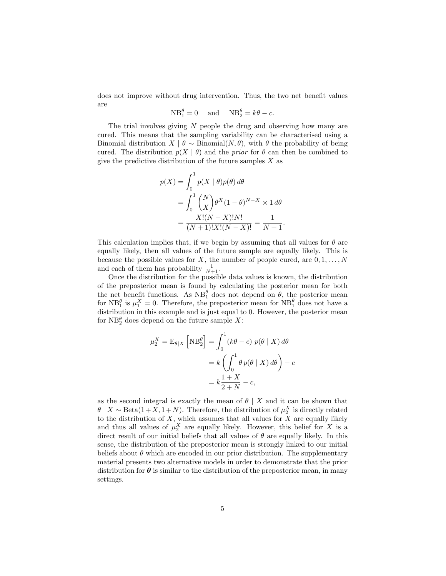does not improve without drug intervention. Thus, the two net benefit values are

$$
NB_1^{\theta} = 0 \quad \text{and} \quad NB_2^{\theta} = k\theta - c.
$$

The trial involves giving  $N$  people the drug and observing how many are cured. This means that the sampling variability can be characterised using a Binomial distribution  $X | \theta \sim \text{Binomial}(N, \theta)$ , with  $\theta$  the probability of being cured. The distribution  $p(X | \theta)$  and the *prior* for  $\theta$  can then be combined to give the predictive distribution of the future samples  $X$  as

$$
p(X) = \int_0^1 p(X | \theta) p(\theta) d\theta
$$
  
= 
$$
\int_0^1 {N \choose X} \theta^X (1 - \theta)^{N - X} \times 1 d\theta
$$
  
= 
$$
\frac{X!(N - X)!N!}{(N + 1)!X!(N - X)!} = \frac{1}{N + 1}
$$

.

This calculation implies that, if we begin by assuming that all values for  $\theta$  are equally likely, then all values of the future sample are equally likely. This is because the possible values for X, the number of people cured, are  $0, 1, \ldots, N$ and each of them has probability  $\frac{1}{N+1}$ .

Once the distribution for the possible data values is known, the distribution of the preposterior mean is found by calculating the posterior mean for both the net benefit functions. As  $NB_1^{\theta}$  does not depend on  $\theta$ , the posterior mean for  $NB_1^{\theta}$  is  $\mu_1^X = 0$ . Therefore, the preposterior mean for  $NB_1^{\theta}$  does not have a distribution in this example and is just equal to 0. However, the posterior mean for  $NB_2^{\theta}$  does depend on the future sample X:

$$
\mu_2^X = \mathcal{E}_{\theta|X} \left[ \mathcal{NB}_2^{\theta} \right] = \int_0^1 (k\theta - c) \ p(\theta | X) \, d\theta
$$

$$
= k \left( \int_0^1 \theta \, p(\theta | X) \, d\theta \right) - c
$$

$$
= k \frac{1+X}{2+N} - c,
$$

as the second integral is exactly the mean of  $\theta \mid X$  and it can be shown that  $\theta \mid X \sim \text{Beta}(1 + X, 1 + N)$ . Therefore, the distribution of  $\mu_2^X$  is directly related to the distribution of  $X$ , which assumes that all values for  $X$  are equally likely and thus all values of  $\mu_2^X$  are equally likely. However, this belief for X is a direct result of our initial beliefs that all values of  $\theta$  are equally likely. In this sense, the distribution of the preposterior mean is strongly linked to our initial beliefs about  $\theta$  which are encoded in our prior distribution. The supplementary material presents two alternative models in order to demonstrate that the prior distribution for  $\theta$  is similar to the distribution of the preposterior mean, in many settings.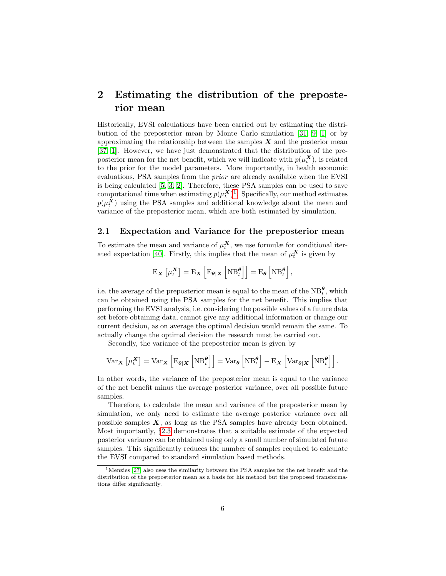## <span id="page-5-0"></span>2 Estimating the distribution of the preposterior mean

Historically, EVSI calculations have been carried out by estimating the distribution of the preposterior mean by Monte Carlo simulation [\[31,](#page-17-6) [9,](#page-15-3) [1\]](#page-15-0) or by approximating the relationship between the samples  $\boldsymbol{X}$  and the posterior mean [\[37,](#page-17-4) [1\]](#page-15-0). However, we have just demonstrated that the distribution of the preposterior mean for the net benefit, which we will indicate with  $p(\mu_t^{\mathbf{X}})$ , is related to the prior for the model parameters. More importantly, in health economic evaluations, PSA samples from the prior are already available when the EVSI is being calculated [\[5,](#page-15-6) [3,](#page-15-7) [2\]](#page-15-8). Therefore, these PSA samples can be used to save computational time when estimating  $p(\mu_t^X)^1$  $p(\mu_t^X)^1$ . Specifically, our method estimates  $p(\mu_t^{\mathbf{X}})$  using the PSA samples and additional knowledge about the mean and variance of the preposterior mean, which are both estimated by simulation.

#### 2.1 Expectation and Variance for the preposterior mean

To estimate the mean and variance of  $\mu_t^{\mathbf{X}}$ , we use formulæ for conditional iter-ated expectation [\[40\]](#page-18-1). Firstly, this implies that the mean of  $\mu_t^{\mathbf{X}}$  is given by

$$
\mathrm{E}_{\boldsymbol{X}}\left[\mu_t^{\boldsymbol{X}}\right] = \mathrm{E}_{\boldsymbol{X}}\left[\mathrm{E}_{\boldsymbol{\theta}|\boldsymbol{X}}\left[\mathrm{NB}_t^{\boldsymbol{\theta}}\right]\right] = \mathrm{E}_{\boldsymbol{\theta}}\left[\mathrm{NB}_t^{\boldsymbol{\theta}}\right],
$$

i.e. the average of the preposterior mean is equal to the mean of the  $NB_t^{\theta}$ , which can be obtained using the PSA samples for the net benefit. This implies that performing the EVSI analysis, i.e. considering the possible values of a future data set before obtaining data, cannot give any additional information or change our current decision, as on average the optimal decision would remain the same. To actually change the optimal decision the research must be carried out.

Secondly, the variance of the preposterior mean is given by

$$
\text{Var}_{\mathbf{X}}\left[\mu_t^{\mathbf{X}}\right] = \text{Var}_{\mathbf{X}}\left[\text{E}_{\theta|\mathbf{X}}\left[\text{NB}_t^{\theta}\right]\right] = \text{Var}_{\theta}\left[\text{NB}_t^{\theta}\right] - \text{E}_{\mathbf{X}}\left[\text{Var}_{\theta|\mathbf{X}}\left[\text{NB}_t^{\theta}\right]\right].
$$

In other words, the variance of the preposterior mean is equal to the variance of the net benefit minus the average posterior variance, over all possible future samples.

Therefore, to calculate the mean and variance of the preposterior mean by simulation, we only need to estimate the average posterior variance over all possible samples  $X$ , as long as the PSA samples have already been obtained. Most importantly, §[2.3](#page-7-0) demonstrates that a suitable estimate of the expected posterior variance can be obtained using only a small number of simulated future samples. This significantly reduces the number of samples required to calculate the EVSI compared to standard simulation based methods.

<span id="page-5-1"></span><sup>&</sup>lt;sup>1</sup>Menzies [\[27\]](#page-17-3) also uses the similarity between the PSA samples for the net benefit and the distribution of the preposterior mean as a basis for his method but the proposed transformations differ significantly.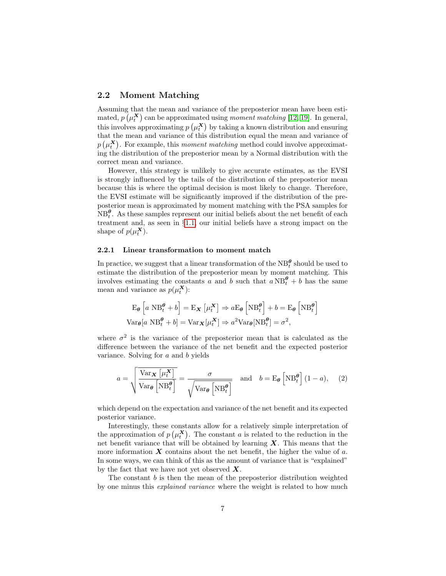#### 2.2 Moment Matching

Assuming that the mean and variance of the preposterior mean have been estimated,  $p(\mu_t^{\mathbf{X}})$  can be approximated using *moment matching* [\[12,](#page-15-9) [19\]](#page-16-8). In general, this involves approximating  $p\left(\mu_t^{\mathbf{X}}\right)$  by taking a known distribution and ensuring that the mean and variance of this distribution equal the mean and variance of  $p(\mu_t^{\mathbf{X}})$ . For example, this moment matching method could involve approximating the distribution of the preposterior mean by a Normal distribution with the correct mean and variance.

However, this strategy is unlikely to give accurate estimates, as the EVSI is strongly influenced by the tails of the distribution of the preposterior mean because this is where the optimal decision is most likely to change. Therefore, the EVSI estimate will be significantly improved if the distribution of the preposterior mean is approximated by moment matching with the PSA samples for  $NB<sub>t</sub><sup>θ</sup>$ . As these samples represent our initial beliefs about the net benefit of each treatment and, as seen in §[1.1,](#page-3-0) our initial beliefs have a strong impact on the shape of  $p(\mu_t^{\mathbf{X}})$ .

#### 2.2.1 Linear transformation to moment match

In practice, we suggest that a linear transformation of the  $NB_t^{\theta}$  should be used to estimate the distribution of the preposterior mean by moment matching. This involves estimating the constants a and b such that  $a NB_t^{\theta} + b$  has the same mean and variance as  $p(\mu_t^{\mathbf{X}})$ :

$$
\mathbf{E}_{\theta} \left[ a \ \mathbf{N} \mathbf{B}_{t}^{\theta} + b \right] = \mathbf{E}_{\mathbf{X}} \left[ \mu_{t}^{\mathbf{X}} \right] \Rightarrow a \mathbf{E}_{\theta} \left[ \mathbf{N} \mathbf{B}_{t}^{\theta} \right] + b = \mathbf{E}_{\theta} \left[ \mathbf{N} \mathbf{B}_{t}^{\theta} \right]
$$
\n
$$
\text{Var}_{\theta}[a \ \mathbf{N} \mathbf{B}_{t}^{\theta} + b] = \text{Var}_{\mathbf{X}} \left[ \mu_{t}^{\mathbf{X}} \right] \Rightarrow a^{2} \text{Var}_{\theta} \left[ \mathbf{N} \mathbf{B}_{t}^{\theta} \right] = \sigma^{2},
$$

where  $\sigma^2$  is the variance of the preposterior mean that is calculated as the difference between the variance of the net benefit and the expected posterior variance. Solving for  $a$  and  $b$  yields

<span id="page-6-0"></span>
$$
a = \sqrt{\frac{\text{Var}_{\mathbf{X}}\left[\mu_t^{\mathbf{X}}\right]}{\text{Var}_{\theta}\left[\text{NB}_t^{\theta}\right]}} = \frac{\sigma}{\sqrt{\text{Var}_{\theta}\left[\text{NB}_t^{\theta}\right]}} \quad \text{and} \quad b = \text{E}_{\theta}\left[\text{NB}_t^{\theta}\right](1-a), \quad (2)
$$

which depend on the expectation and variance of the net benefit and its expected posterior variance.

Interestingly, these constants allow for a relatively simple interpretation of the approximation of  $p(\mu_t^X)$ . The constant a is related to the reduction in the net benefit variance that will be obtained by learning  $X$ . This means that the more information  $X$  contains about the net benefit, the higher the value of  $a$ . In some ways, we can think of this as the amount of variance that is "explained" by the fact that we have not yet observed  $X$ .

The constant  $b$  is then the mean of the preposterior distribution weighted by one minus this explained variance where the weight is related to how much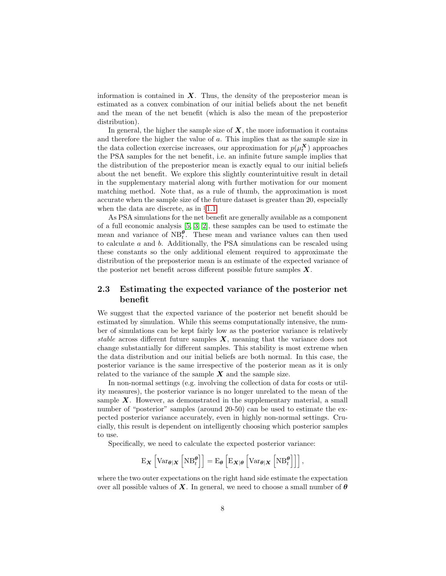information is contained in  $X$ . Thus, the density of the preposterior mean is estimated as a convex combination of our initial beliefs about the net benefit and the mean of the net benefit (which is also the mean of the preposterior distribution).

In general, the higher the sample size of  $X$ , the more information it contains and therefore the higher the value of a. This implies that as the sample size in the data collection exercise increases, our approximation for  $p(\mu_t^{\mathbf{X}})$  approaches the PSA samples for the net benefit, i.e. an infinite future sample implies that the distribution of the preposterior mean is exactly equal to our initial beliefs about the net benefit. We explore this slightly counterintuitive result in detail in the supplementary material along with further motivation for our moment matching method. Note that, as a rule of thumb, the approximation is most accurate when the sample size of the future dataset is greater than 20, especially when the data are discrete, as in §[1.1.](#page-3-0)

As PSA simulations for the net benefit are generally available as a component of a full economic analysis [\[5,](#page-15-6) [3,](#page-15-7) [2\]](#page-15-8), these samples can be used to estimate the mean and variance of  $NB_t^{\theta}$ . These mean and variance values can then used to calculate  $a$  and  $b$ . Additionally, the PSA simulations can be rescaled using these constants so the only additional element required to approximate the distribution of the preposterior mean is an estimate of the expected variance of the posterior net benefit across different possible future samples  $X$ .

## <span id="page-7-0"></span>2.3 Estimating the expected variance of the posterior net benefit

We suggest that the expected variance of the posterior net benefit should be estimated by simulation. While this seems computationally intensive, the number of simulations can be kept fairly low as the posterior variance is relatively stable across different future samples  $X$ , meaning that the variance does not change substantially for different samples. This stability is most extreme when the data distribution and our initial beliefs are both normal. In this case, the posterior variance is the same irrespective of the posterior mean as it is only related to the variance of the sample  $X$  and the sample size.

In non-normal settings (e.g. involving the collection of data for costs or utility measures), the posterior variance is no longer unrelated to the mean of the sample  $X$ . However, as demonstrated in the supplementary material, a small number of "posterior" samples (around 20-50) can be used to estimate the expected posterior variance accurately, even in highly non-normal settings. Crucially, this result is dependent on intelligently choosing which posterior samples to use.

Specifically, we need to calculate the expected posterior variance:

$$
\mathrm{E}_{\boldsymbol{X}}\left[\mathrm{Var}_{\boldsymbol{\theta}|\boldsymbol{X}}\left[\mathrm{NB}_{t}^{\boldsymbol{\theta}}\right]\right] = \mathrm{E}_{\boldsymbol{\theta}}\left[\mathrm{E}_{\boldsymbol{X}|\boldsymbol{\theta}}\left[\mathrm{Var}_{\boldsymbol{\theta}|\boldsymbol{X}}\left[\mathrm{NB}_{t}^{\boldsymbol{\theta}}\right]\right]\right],
$$

where the two outer expectations on the right hand side estimate the expectation over all possible values of X. In general, we need to choose a small number of  $\theta$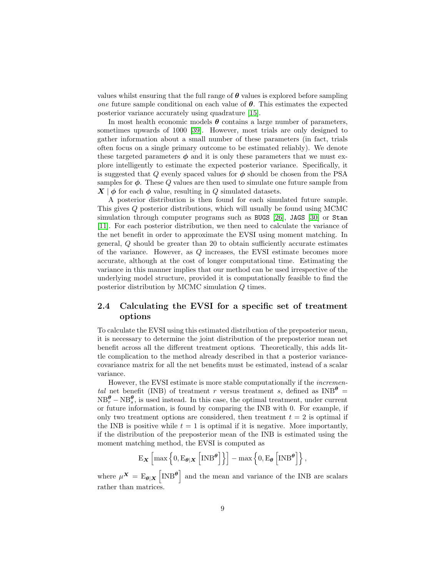values whilst ensuring that the full range of  $\theta$  values is explored before sampling *one* future sample conditional on each value of  $\theta$ . This estimates the expected posterior variance accurately using quadrature [\[15\]](#page-16-9).

In most health economic models  $\theta$  contains a large number of parameters, sometimes upwards of 1000 [\[39\]](#page-17-7). However, most trials are only designed to gather information about a small number of these parameters (in fact, trials often focus on a single primary outcome to be estimated reliably). We denote these targeted parameters  $\phi$  and it is only these parameters that we must explore intelligently to estimate the expected posterior variance. Specifically, it is suggested that Q evenly spaced values for  $\phi$  should be chosen from the PSA samples for  $\phi$ . These  $Q$  values are then used to simulate one future sample from  $\mathbf{X} \mid \boldsymbol{\phi}$  for each  $\boldsymbol{\phi}$  value, resulting in Q simulated datasets.

A posterior distribution is then found for each simulated future sample. This gives Q posterior distributions, which will usually be found using MCMC simulation through computer programs such as BUGS [\[26\]](#page-16-10), JAGS [\[30\]](#page-17-8) or Stan [\[11\]](#page-15-10). For each posterior distribution, we then need to calculate the variance of the net benefit in order to approximate the EVSI using moment matching. In general, Q should be greater than 20 to obtain sufficiently accurate estimates of the variance. However, as Q increases, the EVSI estimate becomes more accurate, although at the cost of longer computational time. Estimating the variance in this manner implies that our method can be used irrespective of the underlying model structure, provided it is computationally feasible to find the posterior distribution by MCMC simulation Q times.

#### 2.4 Calculating the EVSI for a specific set of treatment options

To calculate the EVSI using this estimated distribution of the preposterior mean, it is necessary to determine the joint distribution of the preposterior mean net benefit across all the different treatment options. Theoretically, this adds little complication to the method already described in that a posterior variancecovariance matrix for all the net benefits must be estimated, instead of a scalar variance.

However, the EVSI estimate is more stable computationally if the incremental net benefit (INB) of treatment r versus treatment s, defined as  $\text{INB}^{\theta}$  =  $NB_r^{\theta} - NB_s^{\theta}$ , is used instead. In this case, the optimal treatment, under current or future information, is found by comparing the INB with 0. For example, if only two treatment options are considered, then treatment  $t = 2$  is optimal if the INB is positive while  $t = 1$  is optimal if it is negative. More importantly, if the distribution of the preposterior mean of the INB is estimated using the moment matching method, the EVSI is computed as

$$
\mathbf{E}_{\boldsymbol{X}}\left[\max\left\{0, \mathbf{E}_{\boldsymbol{\theta}|\boldsymbol{X}}\left[\boldsymbol{\mathrm{INB}}^{\boldsymbol{\theta}}\right]\right\}\right] - \max\left\{0, \mathbf{E}_{\boldsymbol{\theta}}\left[\boldsymbol{\mathrm{INB}}^{\boldsymbol{\theta}}\right]\right\},\right.
$$

where  $\mu^X = E_{\theta \mid X} \left[ \text{INB}^{\theta} \right]$  and the mean and variance of the INB are scalars rather than matrices.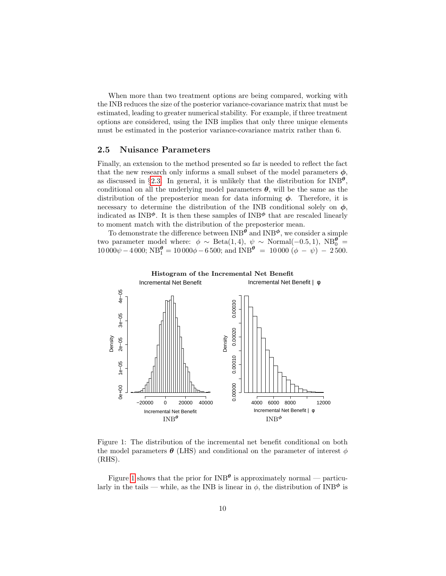When more than two treatment options are being compared, working with the INB reduces the size of the posterior variance-covariance matrix that must be estimated, leading to greater numerical stability. For example, if three treatment options are considered, using the INB implies that only three unique elements must be estimated in the posterior variance-covariance matrix rather than 6.

#### 2.5 Nuisance Parameters

Finally, an extension to the method presented so far is needed to reflect the fact that the new research only informs a small subset of the model parameters  $\phi$ , as discussed in §[2.3.](#page-7-0) In general, it is unlikely that the distribution for  $INB^{\theta}$ , conditional on all the underlying model parameters  $\theta$ , will be the same as the distribution of the preposterior mean for data informing  $\phi$ . Therefore, it is necessary to determine the distribution of the INB conditional solely on  $\phi$ , indicated as  $\text{INB}^{\phi}$ . It is then these samples of  $\text{INB}^{\phi}$  that are rescaled linearly to moment match with the distribution of the preposterior mean.

To demonstrate the difference between  $\text{INB}^{\theta}$  and  $\text{INB}^{\phi}$ , we consider a simple two parameter model where:  $\phi \sim \text{Beta}(1, 4)$ ,  $\psi \sim \text{Normal}(-0.5, 1)$ ,  $NB_0^{\theta} =$  $10\,000\psi - 4\,000$ ;  $NB_1^{\theta} = 10\,000\phi - 6\,500$ ; and  $INB^{\theta} = 10\,000\,(\phi - \psi) - 2\,500$ .

<span id="page-9-0"></span>

Figure 1: The distribution of the incremental net benefit conditional on both the model parameters  $\theta$  (LHS) and conditional on the parameter of interest  $\phi$ (RHS).

Figure [1](#page-9-0) shows that the prior for  $\text{INB}^{\theta}$  is approximately normal — particularly in the tails — while, as the INB is linear in  $\phi$ , the distribution of INB<sup> $\phi$ </sup> is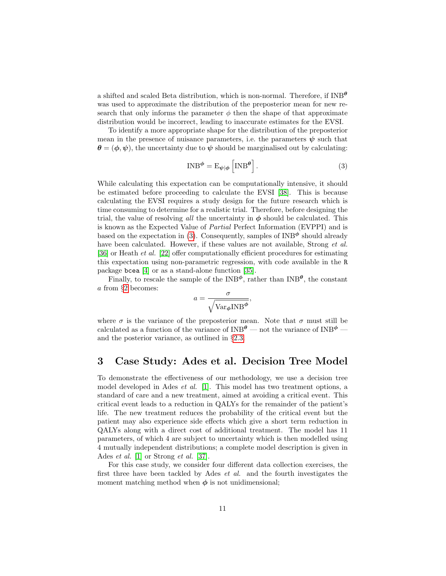a shifted and scaled Beta distribution, which is non-normal. Therefore, if  $\text{INB}^{\theta}$ was used to approximate the distribution of the preposterior mean for new research that only informs the parameter  $\phi$  then the shape of that approximate distribution would be incorrect, leading to inaccurate estimates for the EVSI.

To identify a more appropriate shape for the distribution of the preposterior mean in the presence of nuisance parameters, i.e. the parameters  $\psi$  such that  $\theta = (\phi, \psi)$ , the uncertainty due to  $\psi$  should be marginalised out by calculating:

<span id="page-10-1"></span>
$$
INB^{\phi} = E_{\psi|\phi} \left[ INB^{\theta} \right]. \tag{3}
$$

While calculating this expectation can be computationally intensive, it should be estimated before proceeding to calculate the EVSI [\[38\]](#page-17-9). This is because calculating the EVSI requires a study design for the future research which is time consuming to determine for a realistic trial. Therefore, before designing the trial, the value of resolving all the uncertainty in  $\phi$  should be calculated. This is known as the Expected Value of Partial Perfect Information (EVPPI) and is based on the expectation in [\(3\)](#page-10-1). Consequently, samples of  $\text{INB}^{\phi}$  should already have been calculated. However, if these values are not available, Strong *et al.* [\[36\]](#page-17-10) or Heath et al. [\[22\]](#page-16-11) offer computationally efficient procedures for estimating this expectation using non-parametric regression, with code available in the R package bcea [\[4\]](#page-15-11) or as a stand-alone function [\[35\]](#page-17-11).

Finally, to rescale the sample of the INB<sup> $\phi$ </sup>, rather than INB<sup> $\theta$ </sup>, the constant a from §[2](#page-6-0) becomes:

$$
a = \frac{\sigma}{\sqrt{\text{Var}_{\phi} \text{INB}^{\phi}}},
$$

where  $\sigma$  is the variance of the preposterior mean. Note that  $\sigma$  must still be calculated as a function of the variance of  $\text{INB}^\theta$  — not the variance of  $\text{INB}^\phi$  and the posterior variance, as outlined in §[2.3.](#page-7-0)

## <span id="page-10-0"></span>3 Case Study: Ades et al. Decision Tree Model

To demonstrate the effectiveness of our methodology, we use a decision tree model developed in Ades et al. [\[1\]](#page-15-0). This model has two treatment options, a standard of care and a new treatment, aimed at avoiding a critical event. This critical event leads to a reduction in QALYs for the remainder of the patient's life. The new treatment reduces the probability of the critical event but the patient may also experience side effects which give a short term reduction in QALYs along with a direct cost of additional treatment. The model has 11 parameters, of which 4 are subject to uncertainty which is then modelled using 4 mutually independent distributions; a complete model description is given in Ades *et al.* [\[1\]](#page-15-0) or Strong *et al.* [\[37\]](#page-17-4).

For this case study, we consider four different data collection exercises, the first three have been tackled by Ades et al. and the fourth investigates the moment matching method when  $\phi$  is not unidimensional;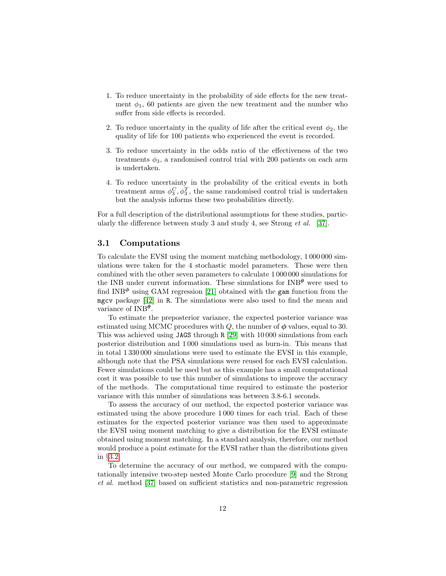- 1. To reduce uncertainty in the probability of side effects for the new treatment  $\phi_1$ , 60 patients are given the new treatment and the number who suffer from side effects is recorded.
- 2. To reduce uncertainty in the quality of life after the critical event  $\phi_2$ , the quality of life for 100 patients who experienced the event is recorded.
- 3. To reduce uncertainty in the odds ratio of the effectiveness of the two treatments  $\phi_3$ , a randomised control trial with 200 patients on each arm is undertaken.
- 4. To reduce uncertainty in the probability of the critical events in both treatment arms  $\phi_3^C, \phi_3^T$ , the same randomised control trial is undertaken but the analysis informs these two probabilities directly.

For a full description of the distributional assumptions for these studies, particularly the difference between study 3 and study 4, see Strong et al. [\[37\]](#page-17-4).

#### 3.1 Computations

To calculate the EVSI using the moment matching methodology, 1 000 000 simulations were taken for the 4 stochastic model parameters. These were then combined with the other seven parameters to calculate 1 000 000 simulations for the INB under current information. These simulations for  $\text{INB}^{\theta}$  were used to find INB $\phi$  using GAM regression [\[21\]](#page-16-12) obtained with the gam function from the mgcv package [\[42\]](#page-18-2) in R. The simulations were also used to find the mean and variance of  $\text{INB}^{\theta}$ .

To estimate the preposterior variance, the expected posterior variance was estimated using MCMC procedures with  $Q$ , the number of  $\phi$  values, equal to 30. This was achieved using JAGS through R [\[29\]](#page-17-12) with 10 000 simulations from each posterior distribution and 1 000 simulations used as burn-in. This means that in total 1 330 000 simulations were used to estimate the EVSI in this example, although note that the PSA simulations were reused for each EVSI calculation. Fewer simulations could be used but as this example has a small computational cost it was possible to use this number of simulations to improve the accuracy of the methods. The computational time required to estimate the posterior variance with this number of simulations was between 3.8-6.1 seconds.

To assess the accuracy of our method, the expected posterior variance was estimated using the above procedure 1 000 times for each trial. Each of these estimates for the expected posterior variance was then used to approximate the EVSI using moment matching to give a distribution for the EVSI estimate obtained using moment matching. In a standard analysis, therefore, our method would produce a point estimate for the EVSI rather than the distributions given in §[3.2.](#page-12-0)

To determine the accuracy of our method, we compared with the computationally intensive two-step nested Monte Carlo procedure [\[9\]](#page-15-3) and the Strong et al. method [\[37\]](#page-17-4) based on sufficient statistics and non-parametric regression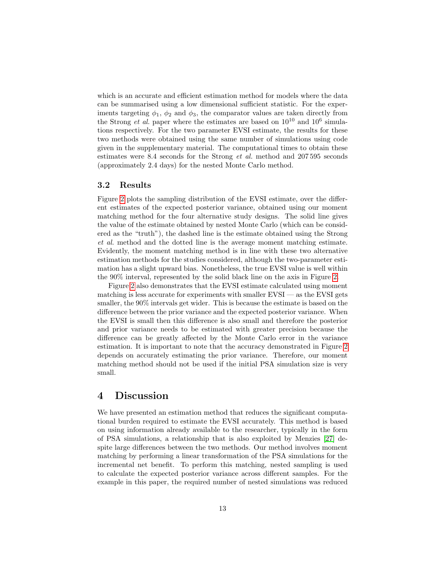which is an accurate and efficient estimation method for models where the data can be summarised using a low dimensional sufficient statistic. For the experiments targeting  $\phi_1$ ,  $\phi_2$  and  $\phi_3$ , the comparator values are taken directly from the Strong *et al.* paper where the estimates are based on  $10^{10}$  and  $10^6$  simulations respectively. For the two parameter EVSI estimate, the results for these two methods were obtained using the same number of simulations using code given in the supplementary material. The computational times to obtain these estimates were 8.4 seconds for the Strong et al. method and 207 595 seconds (approximately 2.4 days) for the nested Monte Carlo method.

#### <span id="page-12-0"></span>3.2 Results

Figure [2](#page-13-0) plots the sampling distribution of the EVSI estimate, over the different estimates of the expected posterior variance, obtained using our moment matching method for the four alternative study designs. The solid line gives the value of the estimate obtained by nested Monte Carlo (which can be considered as the "truth"), the dashed line is the estimate obtained using the Strong et al. method and the dotted line is the average moment matching estimate. Evidently, the moment matching method is in line with these two alternative estimation methods for the studies considered, although the two-parameter estimation has a slight upward bias. Nonetheless, the true EVSI value is well within the 90% interval, represented by the solid black line on the axis in Figure [2.](#page-13-0)

Figure [2](#page-13-0) also demonstrates that the EVSI estimate calculated using moment matching is less accurate for experiments with smaller EVSI — as the EVSI gets smaller, the 90% intervals get wider. This is because the estimate is based on the difference between the prior variance and the expected posterior variance. When the EVSI is small then this difference is also small and therefore the posterior and prior variance needs to be estimated with greater precision because the difference can be greatly affected by the Monte Carlo error in the variance estimation. It is important to note that the accuracy demonstrated in Figure [2](#page-13-0) depends on accurately estimating the prior variance. Therefore, our moment matching method should not be used if the initial PSA simulation size is very small.

## 4 Discussion

We have presented an estimation method that reduces the significant computational burden required to estimate the EVSI accurately. This method is based on using information already available to the researcher, typically in the form of PSA simulations, a relationship that is also exploited by Menzies [\[27\]](#page-17-3) despite large differences between the two methods. Our method involves moment matching by performing a linear transformation of the PSA simulations for the incremental net benefit. To perform this matching, nested sampling is used to calculate the expected posterior variance across different samples. For the example in this paper, the required number of nested simulations was reduced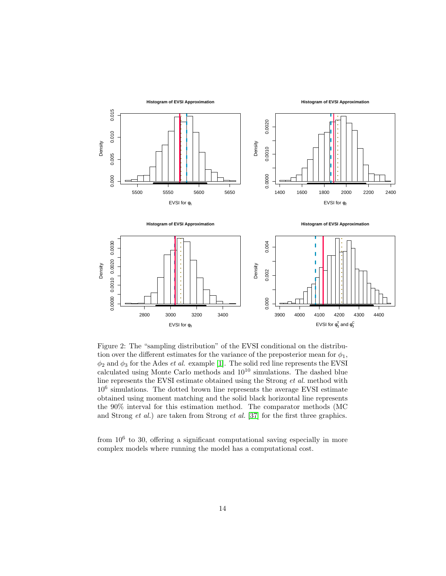<span id="page-13-0"></span>

Figure 2: The "sampling distribution" of the EVSI conditional on the distribution over the different estimates for the variance of the preposterior mean for  $\phi_1$ ,  $\phi_2$  and  $\phi_3$  for the Ades *et al.* example [\[1\]](#page-15-0). The solid red line represents the EVSI calculated using Monte Carlo methods and  $10^{10}$  simulations. The dashed blue line represents the EVSI estimate obtained using the Strong et al. method with 10<sup>6</sup> simulations. The dotted brown line represents the average EVSI estimate obtained using moment matching and the solid black horizontal line represents the 90% interval for this estimation method. The comparator methods (MC and Strong et al.) are taken from Strong et al. [\[37\]](#page-17-4) for the first three graphics.

from  $10^6$  to 30, offering a significant computational saving especially in more complex models where running the model has a computational cost.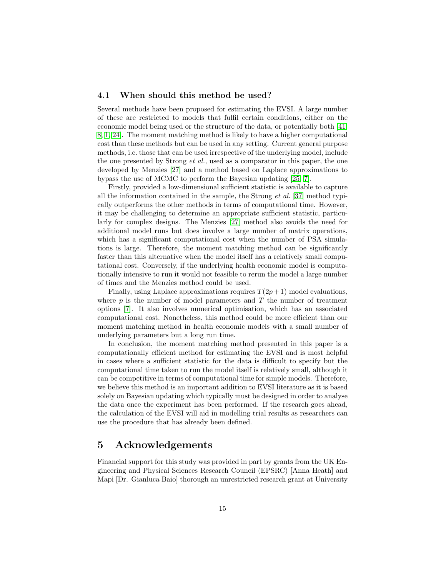#### 4.1 When should this method be used?

Several methods have been proposed for estimating the EVSI. A large number of these are restricted to models that fulfil certain conditions, either on the economic model being used or the structure of the data, or potentially both [\[41,](#page-18-0) [8,](#page-15-4) [1,](#page-15-0) [24\]](#page-16-7). The moment matching method is likely to have a higher computational cost than these methods but can be used in any setting. Current general purpose methods, i.e. those that can be used irrespective of the underlying model, include the one presented by Strong *et al.*, used as a comparator in this paper, the one developed by Menzies [\[27\]](#page-17-3) and a method based on Laplace approximations to bypass the use of MCMC to perform the Bayesian updating [\[25,](#page-16-6) [7\]](#page-15-5).

Firstly, provided a low-dimensional sufficient statistic is available to capture all the information contained in the sample, the Strong *et al.* [\[37\]](#page-17-4) method typically outperforms the other methods in terms of computational time. However, it may be challenging to determine an appropriate sufficient statistic, particularly for complex designs. The Menzies [\[27\]](#page-17-3) method also avoids the need for additional model runs but does involve a large number of matrix operations, which has a significant computational cost when the number of PSA simulations is large. Therefore, the moment matching method can be significantly faster than this alternative when the model itself has a relatively small computational cost. Conversely, if the underlying health economic model is computationally intensive to run it would not feasible to rerun the model a large number of times and the Menzies method could be used.

Finally, using Laplace approximations requires  $T(2p+1)$  model evaluations, where  $p$  is the number of model parameters and  $T$  the number of treatment options [\[7\]](#page-15-5). It also involves numerical optimisation, which has an associated computational cost. Nonetheless, this method could be more efficient than our moment matching method in health economic models with a small number of underlying parameters but a long run time.

In conclusion, the moment matching method presented in this paper is a computationally efficient method for estimating the EVSI and is most helpful in cases where a sufficient statistic for the data is difficult to specify but the computational time taken to run the model itself is relatively small, although it can be competitive in terms of computational time for simple models. Therefore, we believe this method is an important addition to EVSI literature as it is based solely on Bayesian updating which typically must be designed in order to analyse the data once the experiment has been performed. If the research goes ahead, the calculation of the EVSI will aid in modelling trial results as researchers can use the procedure that has already been defined.

## 5 Acknowledgements

Financial support for this study was provided in part by grants from the UK Engineering and Physical Sciences Research Council (EPSRC) [Anna Heath] and Mapi [Dr. Gianluca Baio] thorough an unrestricted research grant at University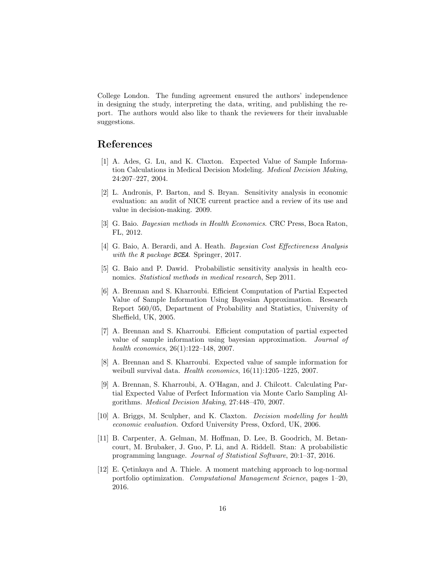College London. The funding agreement ensured the authors' independence in designing the study, interpreting the data, writing, and publishing the report. The authors would also like to thank the reviewers for their invaluable suggestions.

## References

- <span id="page-15-0"></span>[1] A. Ades, G. Lu, and K. Claxton. Expected Value of Sample Information Calculations in Medical Decision Modeling. Medical Decision Making, 24:207–227, 2004.
- <span id="page-15-8"></span>[2] L. Andronis, P. Barton, and S. Bryan. Sensitivity analysis in economic evaluation: an audit of NICE current practice and a review of its use and value in decision-making. 2009.
- <span id="page-15-7"></span>[3] G. Baio. Bayesian methods in Health Economics. CRC Press, Boca Raton, FL, 2012.
- <span id="page-15-11"></span>[4] G. Baio, A. Berardi, and A. Heath. Bayesian Cost Effectiveness Analysis with the R package BCEA. Springer, 2017.
- <span id="page-15-6"></span>[5] G. Baio and P. Dawid. Probabilistic sensitivity analysis in health economics. *Statistical methods in medical research*, Sep 2011.
- <span id="page-15-1"></span>[6] A. Brennan and S. Kharroubi. Efficient Computation of Partial Expected Value of Sample Information Using Bayesian Approximation. Research Report 560/05, Department of Probability and Statistics, University of Sheffield, UK, 2005.
- <span id="page-15-5"></span>[7] A. Brennan and S. Kharroubi. Efficient computation of partial expected value of sample information using bayesian approximation. Journal of health economics, 26(1):122–148, 2007.
- <span id="page-15-4"></span>[8] A. Brennan and S. Kharroubi. Expected value of sample information for weibull survival data. Health economics,  $16(11):1205-1225$ , 2007.
- <span id="page-15-3"></span>[9] A. Brennan, S. Kharroubi, A. O'Hagan, and J. Chilcott. Calculating Partial Expected Value of Perfect Information via Monte Carlo Sampling Algorithms. Medical Decision Making, 27:448–470, 2007.
- <span id="page-15-2"></span>[10] A. Briggs, M. Sculpher, and K. Claxton. Decision modelling for health economic evaluation. Oxford University Press, Oxford, UK, 2006.
- <span id="page-15-10"></span>[11] B. Carpenter, A. Gelman, M. Hoffman, D. Lee, B. Goodrich, M. Betancourt, M. Brubaker, J. Guo, P. Li, and A. Riddell. Stan: A probabilistic programming language. Journal of Statistical Software, 20:1–37, 2016.
- <span id="page-15-9"></span>[12] E. Cetinkaya and A. Thiele. A moment matching approach to log-normal portfolio optimization. Computational Management Science, pages 1–20, 2016.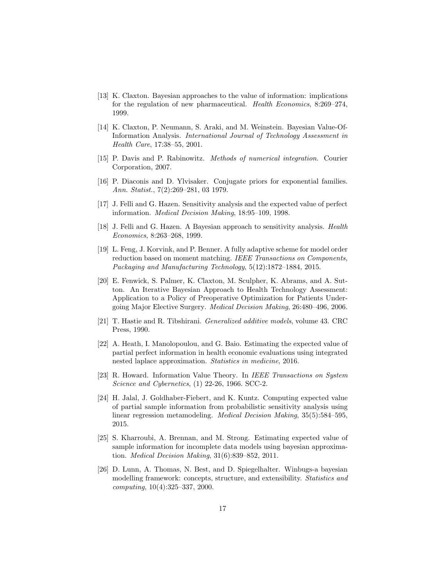- <span id="page-16-3"></span>[13] K. Claxton. Bayesian approaches to the value of information: implications for the regulation of new pharmaceutical. Health Economics, 8:269–274, 1999.
- <span id="page-16-4"></span>[14] K. Claxton, P. Neumann, S. Araki, and M. Weinstein. Bayesian Value-Of-Information Analysis. International Journal of Technology Assessment in Health Care, 17:38–55, 2001.
- <span id="page-16-9"></span>[15] P. Davis and P. Rabinowitz. Methods of numerical integration. Courier Corporation, 2007.
- <span id="page-16-13"></span>[16] P. Diaconis and D. Ylvisaker. Conjugate priors for exponential families. Ann. Statist., 7(2):269–281, 03 1979.
- <span id="page-16-1"></span>[17] J. Felli and G. Hazen. Sensitivity analysis and the expected value of perfect information. Medical Decision Making, 18:95–109, 1998.
- <span id="page-16-2"></span>[18] J. Felli and G. Hazen. A Bayesian approach to sensitivity analysis. Health Economics, 8:263–268, 1999.
- <span id="page-16-8"></span>[19] L. Feng, J. Korvink, and P. Benner. A fully adaptive scheme for model order reduction based on moment matching. IEEE Transactions on Components, Packaging and Manufacturing Technology, 5(12):1872–1884, 2015.
- <span id="page-16-5"></span>[20] E. Fenwick, S. Palmer, K. Claxton, M. Sculpher, K. Abrams, and A. Sutton. An Iterative Bayesian Approach to Health Technology Assessment: Application to a Policy of Preoperative Optimization for Patients Undergoing Major Elective Surgery. Medical Decision Making, 26:480–496, 2006.
- <span id="page-16-12"></span>[21] T. Hastie and R. Tibshirani. Generalized additive models, volume 43. CRC Press, 1990.
- <span id="page-16-11"></span>[22] A. Heath, I. Manolopoulou, and G. Baio. Estimating the expected value of partial perfect information in health economic evaluations using integrated nested laplace approximation. Statistics in medicine, 2016.
- <span id="page-16-0"></span>[23] R. Howard. Information Value Theory. In IEEE Transactions on System Science and Cybernetics, (1) 22-26, 1966. SCC-2.
- <span id="page-16-7"></span>[24] H. Jalal, J. Goldhaber-Fiebert, and K. Kuntz. Computing expected value of partial sample information from probabilistic sensitivity analysis using linear regression metamodeling. Medical Decision Making, 35(5):584–595, 2015.
- <span id="page-16-6"></span>[25] S. Kharroubi, A. Brennan, and M. Strong. Estimating expected value of sample information for incomplete data models using bayesian approximation. Medical Decision Making, 31(6):839–852, 2011.
- <span id="page-16-10"></span>[26] D. Lunn, A. Thomas, N. Best, and D. Spiegelhalter. Winbugs-a bayesian modelling framework: concepts, structure, and extensibility. *Statistics and* computing, 10(4):325–337, 2000.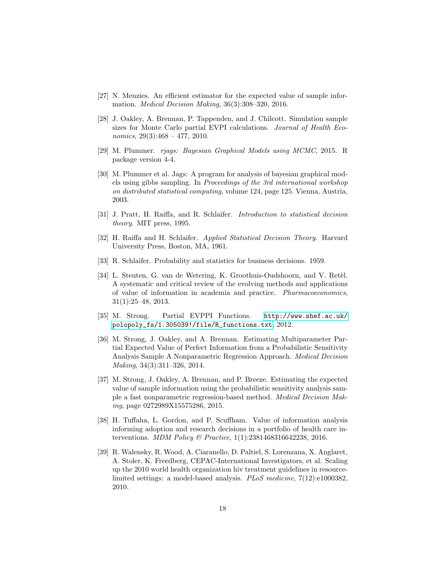- <span id="page-17-3"></span>[27] N. Menzies. An efficient estimator for the expected value of sample information. Medical Decision Making, 36(3):308–320, 2016.
- <span id="page-17-5"></span>[28] J. Oakley, A. Brennan, P. Tappenden, and J. Chilcott. Simulation sample sizes for Monte Carlo partial EVPI calculations. Journal of Health Economics,  $29(3):468 - 477$ ,  $2010$ .
- <span id="page-17-12"></span>[29] M. Plummer. rjags: Bayesian Graphical Models using MCMC, 2015. R package version 4-4.
- <span id="page-17-8"></span>[30] M. Plummer et al. Jags: A program for analysis of bayesian graphical models using gibbs sampling. In Proceedings of the 3rd international workshop on distributed statistical computing, volume 124, page 125. Vienna, Austria, 2003.
- <span id="page-17-6"></span>[31] J. Pratt, H. Raiffa, and R. Schlaifer. Introduction to statistical decision theory. MIT press, 1995.
- <span id="page-17-1"></span>[32] H. Raiffa and H. Schlaifer. Applied Statistical Decision Theory. Harvard University Press, Boston, MA, 1961.
- <span id="page-17-0"></span>[33] R. Schlaifer. Probability and statistics for business decisions. 1959.
- <span id="page-17-2"></span>[34] L. Steuten, G. van de Wetering, K. Groothuis-Oudshoorn, and V. Retèl. A systematic and critical review of the evolving methods and applications of value of information in academia and practice. Pharmacoeconomics, 31(1):25–48, 2013.
- <span id="page-17-11"></span>[35] M. Strong. Partial EVPPI Functions. [http://www.shef.ac.uk/](http://www.shef.ac.uk/polopoly_fs/1.305039!/file/R_functions.txt) [polopoly\\_fs/1.305039!/file/R\\_functions.txt](http://www.shef.ac.uk/polopoly_fs/1.305039!/file/R_functions.txt), 2012.
- <span id="page-17-10"></span>[36] M. Strong, J. Oakley, and A. Brennan. Estimating Multiparameter Partial Expected Value of Perfect Information from a Probabilistic Sensitivity Analysis Sample A Nonparametric Regression Approach. Medical Decision Making, 34(3):311–326, 2014.
- <span id="page-17-4"></span>[37] M. Strong, J. Oakley, A. Brennan, and P. Breeze. Estimating the expected value of sample information using the probabilistic sensitivity analysis sample a fast nonparametric regression-based method. Medical Decision Making, page 0272989X15575286, 2015.
- <span id="page-17-9"></span>[38] H. Tuffaha, L. Gordon, and P. Scuffham. Value of information analysis informing adoption and research decisions in a portfolio of health care interventions. MDM Policy & Practice, 1(1):2381468316642238, 2016.
- <span id="page-17-7"></span>[39] R. Walensky, R. Wood, A. Ciaranello, D. Paltiel, S. Lorenzana, X. Anglaret, A. Stoler, K. Freedberg, CEPAC-International Investigators, et al. Scaling up the 2010 world health organization hiv treatment guidelines in resourcelimited settings: a model-based analysis. PLoS medicine, 7(12):e1000382, 2010.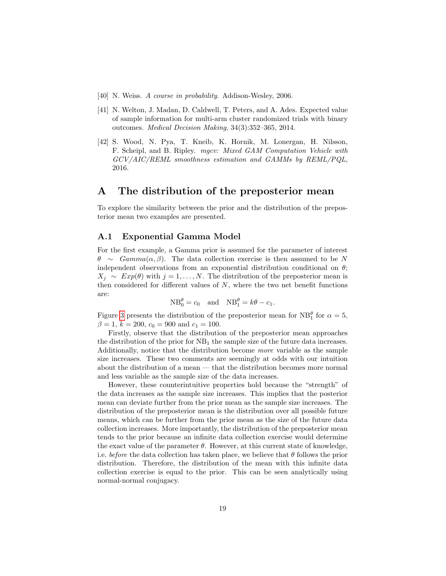- <span id="page-18-1"></span>[40] N. Weiss. A course in probability. Addison-Wesley, 2006.
- <span id="page-18-0"></span>[41] N. Welton, J. Madan, D. Caldwell, T. Peters, and A. Ades. Expected value of sample information for multi-arm cluster randomized trials with binary outcomes. Medical Decision Making, 34(3):352–365, 2014.
- <span id="page-18-2"></span>[42] S. Wood, N. Pya, T. Kneib, K. Hornik, M. Lonergan, H. Nilsson, F. Scheipl, and B. Ripley. mgcv: Mixed GAM Computation Vehicle with GCV/AIC/REML smoothness estimation and GAMMs by REML/PQL, 2016.

## A The distribution of the preposterior mean

To explore the similarity between the prior and the distribution of the preposterior mean two examples are presented.

#### A.1 Exponential Gamma Model

For the first example, a Gamma prior is assumed for the parameter of interest  $\theta \sim Gamma(\alpha, \beta)$ . The data collection exercise is then assumed to be N independent observations from an exponential distribution conditional on  $\theta$ ;  $X_j \sim Exp(\theta)$  with  $j = 1, ..., N$ . The distribution of the preposterior mean is then considered for different values of  $N$ , where the two net benefit functions are:

$$
NB_0^{\theta} = c_0 \quad \text{and} \quad NB_1^{\theta} = k\theta - c_1.
$$

Figure [3](#page-19-0) presents the distribution of the preposterior mean for  $NB_1^{\theta}$  for  $\alpha = 5$ ,  $\beta = 1, k = 200, c_0 = 900 \text{ and } c_1 = 100.$ 

Firstly, observe that the distribution of the preposterior mean approaches the distribution of the prior for  $NB<sub>1</sub>$  the sample size of the future data increases. Additionally, notice that the distribution become more variable as the sample size increases. These two comments are seemingly at odds with our intuition about the distribution of a mean — that the distribution becomes more normal and less variable as the sample size of the data increases.

However, these counterintuitive properties hold because the "strength" of the data increases as the sample size increases. This implies that the posterior mean can deviate further from the prior mean as the sample size increases. The distribution of the preposterior mean is the distribution over all possible future means, which can be further from the prior mean as the size of the future data collection increases. More importantly, the distribution of the preposterior mean tends to the prior because an infinite data collection exercise would determine the exact value of the parameter  $\theta$ . However, at this current state of knowledge, i.e. before the data collection has taken place, we believe that  $\theta$  follows the prior distribution. Therefore, the distribution of the mean with this infinite data collection exercise is equal to the prior. This can be seen analytically using normal-normal conjugacy.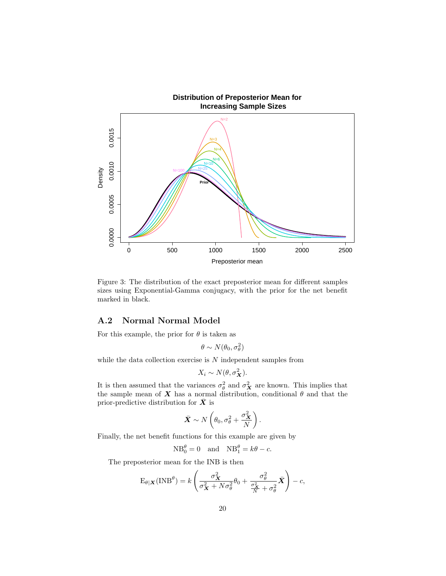<span id="page-19-0"></span>

Figure 3: The distribution of the exact preposterior mean for different samples sizes using Exponential-Gamma conjugacy, with the prior for the net benefit marked in black.

#### A.2 Normal Normal Model

For this example, the prior for  $\theta$  is taken as

 $\theta \sim N(\theta_0, \sigma_\theta^2)$ 

while the data collection exercise is  $N$  independent samples from

$$
X_i \sim N(\theta, \sigma_X^2).
$$

It is then assumed that the variances  $\sigma_{\theta}^2$  and  $\sigma_{\mathbf{X}}^2$  are known. This implies that the sample mean of X has a normal distribution, conditional  $\theta$  and that the prior-predictive distribution for  $\overline{X}$  is

$$
\bar{X} \sim N\left(\theta_0, \sigma_{\theta}^2 + \frac{\sigma_X^2}{N}\right).
$$

Finally, the net benefit functions for this example are given by

$$
NB_0^{\theta} = 0 \quad \text{and} \quad NB_1^{\theta} = k\theta - c.
$$

The preposterior mean for the INB is then

$$
E_{\theta|\mathbf{X}}(INB^{\theta}) = k \left( \frac{\sigma_{\mathbf{X}}^2}{\sigma_{\mathbf{X}}^2 + N\sigma_{\theta}^2} \theta_0 + \frac{\sigma_{\theta}^2}{\frac{\sigma_{\mathbf{X}}^2}{N} + \sigma_{\theta}^2} \bar{\mathbf{X}} \right) - c,
$$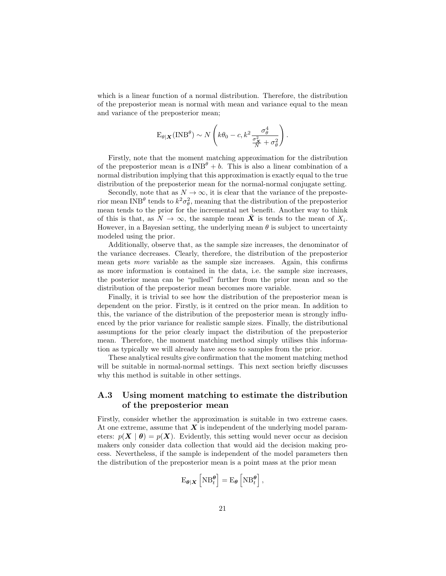which is a linear function of a normal distribution. Therefore, the distribution of the preposterior mean is normal with mean and variance equal to the mean and variance of the preposterior mean;

$$
\mathbf{E}_{\theta|\mathbf{X}}(\mathbf{INB}^{\theta}) \sim N\left(k\theta_0 - c, k^2 \frac{\sigma_{\theta}^4}{\frac{\sigma_{\mathbf{X}}^2}{N} + \sigma_{\theta}^2}\right)
$$

.

Firstly, note that the moment matching approximation for the distribution of the preposterior mean is  $a \text{ INB}^{\theta} + b$ . This is also a linear combination of a normal distribution implying that this approximation is exactly equal to the true distribution of the preposterior mean for the normal-normal conjugate setting.

Secondly, note that as  $N \to \infty$ , it is clear that the variance of the preposterior mean INB<sup> $\theta$ </sup> tends to  $k^2 \sigma_{\theta}^2$ , meaning that the distribution of the preposterior mean tends to the prior for the incremental net benefit. Another way to think of this is that, as  $N \to \infty$ , the sample mean  $\bar{X}$  is tends to the mean of  $X_i$ . However, in a Bayesian setting, the underlying mean  $\theta$  is subject to uncertainty modeled using the prior.

Additionally, observe that, as the sample size increases, the denominator of the variance decreases. Clearly, therefore, the distribution of the preposterior mean gets more variable as the sample size increases. Again, this confirms as more information is contained in the data, i.e. the sample size increases, the posterior mean can be "pulled" further from the prior mean and so the distribution of the preposterior mean becomes more variable.

Finally, it is trivial to see how the distribution of the preposterior mean is dependent on the prior. Firstly, is it centred on the prior mean. In addition to this, the variance of the distribution of the preposterior mean is strongly influenced by the prior variance for realistic sample sizes. Finally, the distributional assumptions for the prior clearly impact the distribution of the preposterior mean. Therefore, the moment matching method simply utilises this information as typically we will already have access to samples from the prior.

These analytical results give confirmation that the moment matching method will be suitable in normal-normal settings. This next section briefly discusses why this method is suitable in other settings.

## A.3 Using moment matching to estimate the distribution of the preposterior mean

Firstly, consider whether the approximation is suitable in two extreme cases. At one extreme, assume that  $\boldsymbol{X}$  is independent of the underlying model parameters:  $p(X | \theta) = p(X)$ . Evidently, this setting would never occur as decision makers only consider data collection that would aid the decision making process. Nevertheless, if the sample is independent of the model parameters then the distribution of the preposterior mean is a point mass at the prior mean

$$
\mathrm{E}_{\boldsymbol{\theta}|\boldsymbol{X}}\left[\mathrm{NB}_{t}^{\boldsymbol{\theta}}\right]=\mathrm{E}_{\boldsymbol{\theta}}\left[\mathrm{NB}_{t}^{\boldsymbol{\theta}}\right],
$$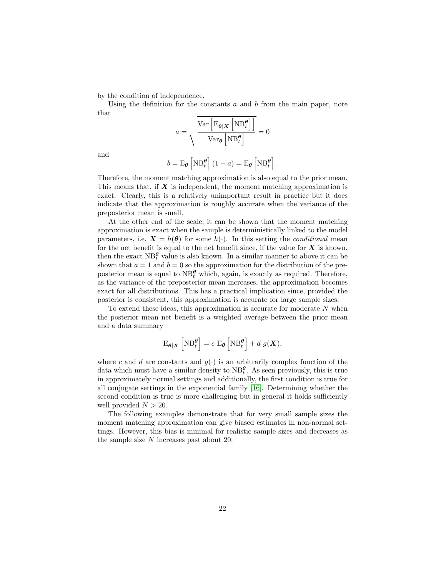by the condition of independence.

Using the definition for the constants  $a$  and  $b$  from the main paper, note that

$$
a = \sqrt{\frac{\text{Var}\left[\text{E}_{\theta|\boldsymbol{X}}\left[\text{NB}_t^{\theta}\right]\right]}{\text{Var}_{\theta}\left[\text{NB}_t^{\theta}\right]}} = 0
$$

and

$$
b = \mathrm{E}_{\theta} \left[ \mathrm{NB}_{t}^{\theta} \right] (1 - a) = \mathrm{E}_{\theta} \left[ \mathrm{NB}_{t}^{\theta} \right].
$$

Therefore, the moment matching approximation is also equal to the prior mean. This means that, if  $X$  is independent, the moment matching approximation is exact. Clearly, this is a relatively unimportant result in practice but it does indicate that the approximation is roughly accurate when the variance of the preposterior mean is small.

At the other end of the scale, it can be shown that the moment matching approximation is exact when the sample is deterministically linked to the model parameters, i.e.  $\mathbf{X} = h(\boldsymbol{\theta})$  for some  $h(\cdot)$ . In this setting the *conditional* mean for the net benefit is equal to the net benefit since, if the value for  $X$  is known, then the exact  $NB_t^{\theta}$  value is also known. In a similar manner to above it can be shown that  $a = 1$  and  $b = 0$  so the approximation for the distribution of the preposterior mean is equal to  $NB_t^{\theta}$  which, again, is exactly as required. Therefore, as the variance of the preposterior mean increases, the approximation becomes exact for all distributions. This has a practical implication since, provided the posterior is consistent, this approximation is accurate for large sample sizes.

To extend these ideas, this approximation is accurate for moderate  $N$  when the posterior mean net benefit is a weighted average between the prior mean and a data summary

$$
\mathrm{E}_{\theta|\boldsymbol{X}}\left[\mathrm{NB}_{t}^{\theta}\right] = c \mathrm{E}_{\theta}\left[\mathrm{NB}_{t}^{\theta}\right] + d \; g(\boldsymbol{X}),
$$

where c and d are constants and  $g(\cdot)$  is an arbitrarily complex function of the data which must have a similar density to  $NB_t^{\theta}$ . As seen previously, this is true in approximately normal settings and additionally, the first condition is true for all conjugate settings in the exponential family [\[16\]](#page-16-13). Determining whether the second condition is true is more challenging but in general it holds sufficiently well provided  $N > 20$ .

The following examples demonstrate that for very small sample sizes the moment matching approximation can give biased estimates in non-normal settings. However, this bias is minimal for realistic sample sizes and decreases as the sample size N increases past about 20.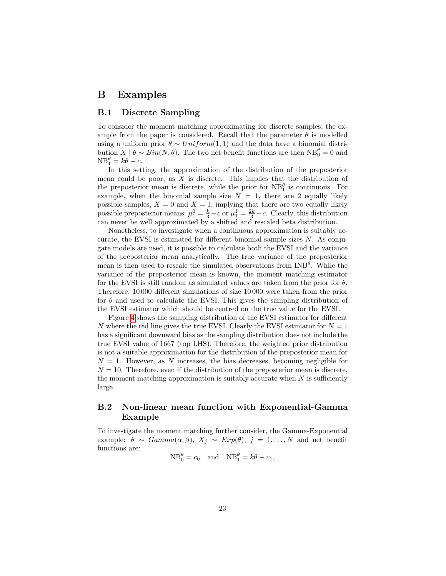## B Examples

#### B.1 Discrete Sampling

To consider the moment matching approximating for discrete samples, the example from the paper is considered. Recall that the parameter  $\theta$  is modelled using a uniform prior  $\theta \sim Uniform(1, 1)$  and the data have a binomial distribution  $X | \theta \sim Bin(N, \theta)$ . The two net benefit functions are then  $NB_0^{\theta} = 0$  and  $NB_1^{\theta} = k\theta - c.$ 

In this setting, the approximation of the distribution of the preposterior mean could be poor, as  $X$  is discrete. This implies that the distribution of the preposterior mean is discrete, while the prior for  $NB_1^{\theta}$  is continuous. For example, when the binomial sample size  $N = 1$ , there are 2 equally likely possible samples,  $X = 0$  and  $X = 1$ , implying that there are two equally likely possible preposterior means;  $\mu_1^0 = \frac{k}{3} - c$  or  $\mu_1^1 = \frac{2k}{3} - c$ . Clearly, this distribution can never be well approximated by a shifted and rescaled beta distribution.

Nonetheless, to investigate when a continuous approximation is suitably accurate, the EVSI is estimated for different binomial sample sizes N. As conjugate models are used, it is possible to calculate both the EVSI and the variance of the preposterior mean analytically. The true variance of the preposterior mean is then used to rescale the simulated observations from  $\text{INB}^{\theta}$ . While the variance of the preposterior mean is known, the moment matching estimator for the EVSI is still random as simulated values are taken from the prior for  $\theta$ . Therefore, 10 000 different simulations of size 10 000 were taken from the prior for  $\theta$  and used to calculate the EVSI. This gives the sampling distribution of the EVSI estimator which should be centred on the true value for the EVSI.

Figure [4](#page-23-0) shows the sampling distribution of the EVSI estimator for different N where the red line gives the true EVSI. Clearly the EVSI estimator for  $N = 1$ has a significant downward bias as the sampling distribution does not include the true EVSI value of 1667 (top LHS). Therefore, the weighted prior distribution is not a suitable approximation for the distribution of the preposterior mean for  $N = 1$ . However, as N increases, the bias decreases, becoming negligible for  $N = 10$ . Therefore, even if the distribution of the preposterior mean is discrete, the moment matching approximation is suitably accurate when  $N$  is sufficiently large.

### B.2 Non-linear mean function with Exponential-Gamma Example

To investigate the moment matching further consider, the Gamma-Exponential example:  $\theta \sim \text{Gamma}(\alpha, \beta), X_j \sim \text{Exp}(\theta), j = 1, ..., N$  and net benefit functions are:

 $NB_0^{\theta} = c_0$  and  $NB_1^{\theta} = k\theta - c_1$ ,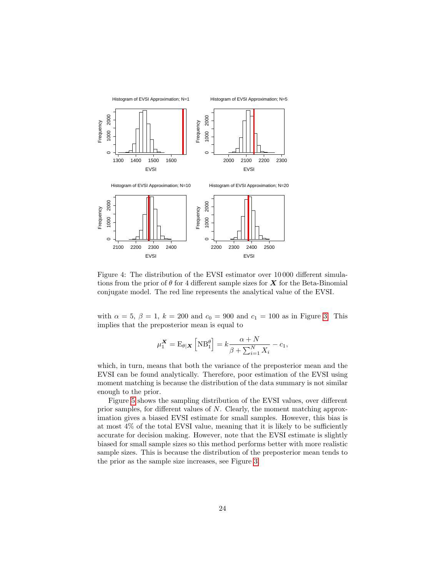<span id="page-23-0"></span>

Figure 4: The distribution of the EVSI estimator over 10 000 different simulations from the prior of  $\theta$  for 4 different sample sizes for  $X$  for the Beta-Binomial conjugate model. The red line represents the analytical value of the EVSI.

with  $\alpha = 5, \beta = 1, k = 200$  and  $c_0 = 900$  and  $c_1 = 100$  as in Figure [3.](#page-19-0) This implies that the preposterior mean is equal to

$$
\mu_1^{\mathbf{X}} = \mathbf{E}_{\theta|\mathbf{X}} \left[ \mathbf{N} \mathbf{B}_1^{\theta} \right] = k \frac{\alpha + N}{\beta + \sum_{i=1}^N X_i} - c_1,
$$

which, in turn, means that both the variance of the preposterior mean and the EVSI can be found analytically. Therefore, poor estimation of the EVSI using moment matching is because the distribution of the data summary is not similar enough to the prior.

Figure [5](#page-24-0) shows the sampling distribution of the EVSI values, over different prior samples, for different values of N. Clearly, the moment matching approximation gives a biased EVSI estimate for small samples. However, this bias is at most 4% of the total EVSI value, meaning that it is likely to be sufficiently accurate for decision making. However, note that the EVSI estimate is slightly biased for small sample sizes so this method performs better with more realistic sample sizes. This is because the distribution of the preposterior mean tends to the prior as the sample size increases, see Figure [3.](#page-19-0)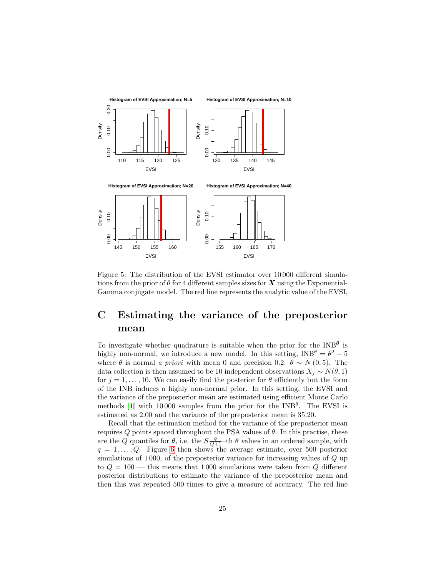<span id="page-24-0"></span>

Figure 5: The distribution of the EVSI estimator over 10 000 different simulations from the prior of  $\theta$  for 4 different samples sizes for X using the Exponential-Gamma conjugate model. The red line represents the analytic value of the EVSI,

## C Estimating the variance of the preposterior mean

To investigate whether quadrature is suitable when the prior for the  $INB^{\theta}$  is highly non-normal, we introduce a new model. In this setting,  $INB^{\theta} = \theta^2 - 5$ where  $\theta$  is normal a priori with mean 0 and precision 0.2:  $\theta \sim N(0, 5)$ . The data collection is then assumed to be 10 independent observations  $X_j \sim N(\theta, 1)$ for  $j = 1, \ldots, 10$ . We can easily find the posterior for  $\theta$  efficiently but the form of the INB induces a highly non-normal prior. In this setting, the EVSI and the variance of the preposterior mean are estimated using efficient Monte Carlo methods [\[1\]](#page-15-0) with 10000 samples from the prior for the INB<sup> $\theta$ </sup>. The EVSI is estimated as 2.00 and the variance of the preposterior mean is 35.20.

Recall that the estimation method for the variance of the preposterior mean requires  $Q$  points spaced throughout the PSA values of  $\theta$ . In this practise, these are the Q quantiles for  $\theta$ , i.e. the  $S_{\overline{Q+1}}$ -th  $\theta$  values in an ordered sample, with  $q = 1, \ldots, Q$ . Figure [6](#page-25-0) then shows the average estimate, over 500 posterior simulations of 1 000, of the preposterior variance for increasing values of Q up to  $Q = 100$  — this means that 1000 simulations were taken from Q different posterior distributions to estimate the variance of the preposterior mean and then this was repeated 500 times to give a measure of accuracy. The red line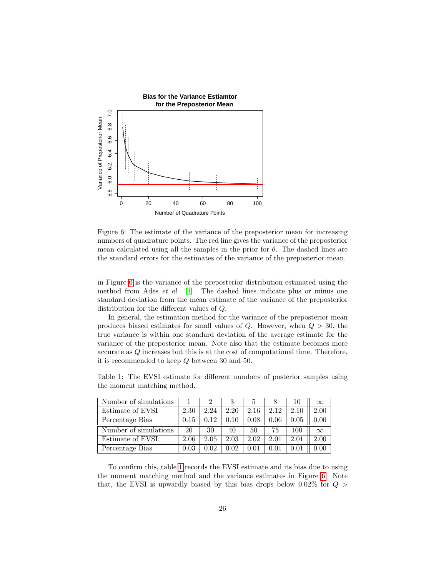<span id="page-25-0"></span>

Figure 6: The estimate of the variance of the preposterior mean for increasing numbers of quadrature points. The red line gives the variance of the preposterior mean calculated using all the samples in the prior for  $\theta$ . The dashed lines are the standard errors for the estimates of the variance of the preposterior mean.

in Figure [6](#page-25-0) is the variance of the preposterior distribution estimated using the method from Ades et al. [\[1\]](#page-15-0). The dashed lines indicate plus or minus one standard deviation from the mean estimate of the variance of the preposterior distribution for the different values of Q.

In general, the estimation method for the variance of the preposterior mean produces biased estimates for small values of  $Q$ . However, when  $Q > 30$ , the true variance is within one standard deviation of the average estimate for the variance of the preposterior mean. Note also that the estimate becomes more accurate as Q increases but this is at the cost of computational time. Therefore, it is recommended to keep Q between 30 and 50.

<span id="page-25-1"></span>Table 1: The EVSI estimate for different numbers of posterior samples using the moment matching method.

| Number of simulations |      |      |      | 5    |            | 10         | $\infty$ |
|-----------------------|------|------|------|------|------------|------------|----------|
| Estimate of EVSI      | 2.30 | 2.24 | 2.20 | 2.16 | 2.12       | 2.10       | 2.00     |
| Percentage Bias       | 0.15 | 0.12 | 0.10 | 0.08 | $0.06\,$   | $\rm 0.05$ | 0.00     |
| Number of simulations | 20   | 30   | 40   | 50   | 75         | 100        | $\infty$ |
| Estimate of EVSI      | 2.06 | 2.05 | 2.03 | 2.02 | 2.01       | 2.01       | 2.00     |
| Percentage Bias       | 0.03 | 0.02 | 0.02 | 0.01 | $\rm 0.01$ | $\rm 0.01$ | 0.00     |

To confirm this, table [1](#page-25-1) records the EVSI estimate and its bias due to using the moment matching method and the variance estimates in Figure [6.](#page-25-0) Note that, the EVSI is upwardly biased by this bias drops below  $0.02\%$  for  $Q >$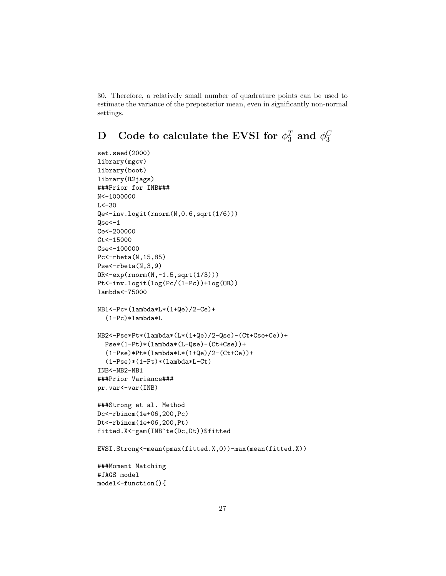30. Therefore, a relatively small number of quadrature points can be used to estimate the variance of the preposterior mean, even in significantly non-normal settings.

```
\quad \textbf{D} \quad \textbf{Code to calculate the EVSI for } \phi_3^T \textbf{ and } \phi_3^C3
```

```
set.seed(2000)
library(mgcv)
library(boot)
library(R2jags)
###Prior for INB###
N<-1000000
L < -30Qe<-inv.logit(rnorm(N,0.6,sqrt(1/6)))
Qse<-1
Ce<-200000
Ct < -15000Cse<-100000
Pc<-rbeta(N,15,85)
Pse<-rbeta(N,3,9)
OR<-exp(rnorm(N,-1.5,sqrt(1/3)))
Pt<-inv.logit(log(Pc/(1-Pc))+log(OR))
lambda<-75000
NB1<-Pc*(lambda*L*(1+Qe)/2-Ce)+
  (1-Pc)*lambda*L
NB2<-Pse*Pt*(lambda*(L*(1+Qe)/2-Qse)-(Ct+Cse+Ce))+
  Pse*(1-Pt)*(lambda*(L-Qse)-(Ct+Cse))+
  (1-Pse)*Pt*(1ambda*L*(1+Qe)/2-(Ct+Ce))+(1-Pse)*(1-Pt)*(lambda*L-Ct)INB<-NB2-NB1
###Prior Variance###
pr.var<-var(INB)
###Strong et al. Method
Dc<-rbinom(1e+06,200,Pc)
Dt<-rbinom(1e+06,200,Pt)
fitted.X<-gam(INB~te(Dc,Dt))$fitted
EVSI.Strong<-mean(pmax(fitted.X,0))-max(mean(fitted.X))
###Moment Matching
#JAGS model
model<-function(){
```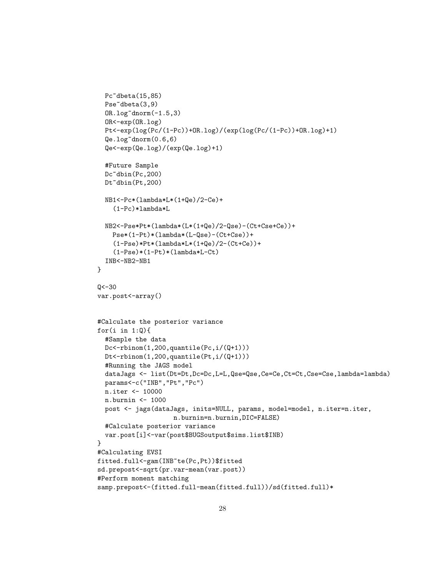```
Pc~dbeta(15,85)
 Pse<sup>~</sup>dbeta(3,9)
 OR.log^{\sim}dnorm(-1.5,3)OR<-exp(OR.log)
 Pt<-exp(log(Pc/(1-Pc))+OR.log)/(exp(log(Pc/(1-Pc))+OR.log)+1)
  Qe.log~dnorm(0.6,6)
  Qe<-exp(Qe.log)/(exp(Qe.log)+1)
 #Future Sample
 Dc~dbin(Pc,200)
 Dt~dbin(Pt,200)
 NB1<-Pc*(lambda*L*(1+Qe)/2-Ce)+
    (1-Pc)*lambda*L
 NB2<-Pse*Pt*(lambda*(L*(1+Qe)/2-Qse)-(Ct+Cse+Ce))+
   Pse*(1-Pt)*(lambda*(L-Qse)-(Ct+Cse))+
    (1-Pse)*Pt*(1ambda*L*(1+Qe)/2-(Ct+Ce))+(1-Pse)*(1-Pt)*(lambda*L-Ct)
 INB<-NB2-NB1
}
Q < -30var.post<-array()
#Calculate the posterior variance
for(i in 1:Q){
 #Sample the data
 Dc<-rbinom(1,200,quantile(Pc,i/(Q+1)))
 Dt<-rbinom(1,200,quantile(Pt,i/(Q+1)))
 #Running the JAGS model
 dataJags <- list(Dt=Dt,Dc=Dc,L=L,Qse=Qse,Ce=Ce,Ct=Ct,Cse=Cse,lambda=lambda)
 params<-c("INB","Pt","Pc")
 n.iter <- 10000
 n.burnin <- 1000
 post <- jags(dataJags, inits=NULL, params, model=model, n.iter=n.iter,
                    n.burnin=n.burnin,DIC=FALSE)
 #Calculate posterior variance
 var.post[i]<-var(post$BUGSoutput$sims.list$INB)
}
#Calculating EVSI
fitted.full<-gam(INB~te(Pc,Pt))$fitted
sd.prepost<-sqrt(pr.var-mean(var.post))
#Perform moment matching
samp.prepost<-(fitted.full-mean(fitted.full))/sd(fitted.full)*
```